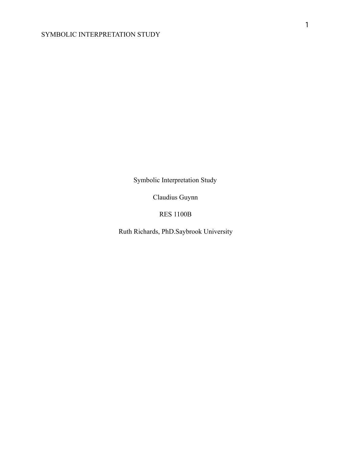Symbolic Interpretation Study

Claudius Guynn

RES 1100B

Ruth Richards, PhD.Saybrook University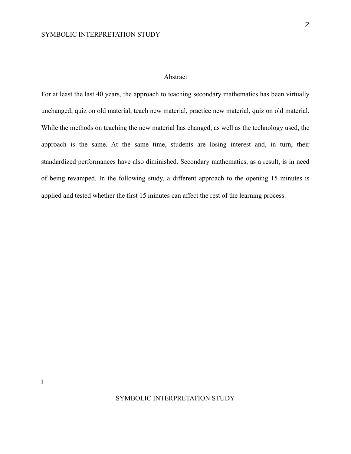i

# Abstract

For at least the last 40 years, the approach to teaching secondary mathematics has been virtually unchanged; quiz on old material, teach new material, practice new material, quiz on old material. While the methods on teaching the new material has changed, as well as the technology used, the approach is the same. At the same time, students are losing interest and, in turn, their standardized performances have also diminished. Secondary mathematics, as a result, is in need of being revamped. In the following study, a different approach to the opening 15 minutes is applied and tested whether the first 15 minutes can affect the rest of the learning process.

# SYMBOLIC INTERPRETATION STUDY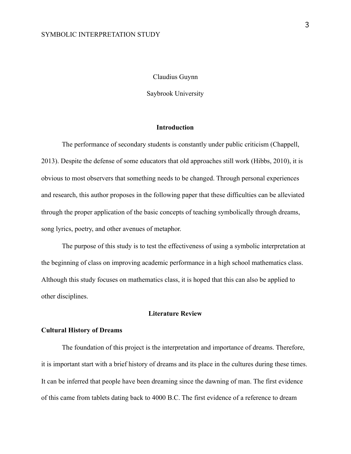## Claudius Guynn

Saybrook University

# **Introduction**

The performance of secondary students is constantly under public criticism (Chappell, 2013). Despite the defense of some educators that old approaches still work (Hibbs, 2010), it is obvious to most observers that something needs to be changed. Through personal experiences and research, this author proposes in the following paper that these difficulties can be alleviated through the proper application of the basic concepts of teaching symbolically through dreams, song lyrics, poetry, and other avenues of metaphor.

The purpose of this study is to test the effectiveness of using a symbolic interpretation at the beginning of class on improving academic performance in a high school mathematics class. Although this study focuses on mathematics class, it is hoped that this can also be applied to other disciplines.

# **Literature Review**

### **Cultural History of Dreams**

The foundation of this project is the interpretation and importance of dreams. Therefore, it is important start with a brief history of dreams and its place in the cultures during these times. It can be inferred that people have been dreaming since the dawning of man. The first evidence of this came from tablets dating back to 4000 B.C. The first evidence of a reference to dream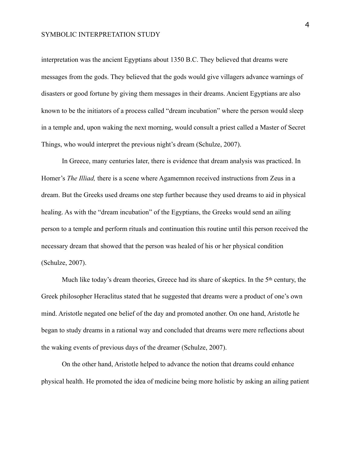interpretation was the ancient Egyptians about 1350 B.C. They believed that dreams were messages from the gods. They believed that the gods would give villagers advance warnings of disasters or good fortune by giving them messages in their dreams. Ancient Egyptians are also known to be the initiators of a process called "dream incubation" where the person would sleep in a temple and, upon waking the next morning, would consult a priest called a Master of Secret Things, who would interpret the previous night's dream (Schulze, 2007).

In Greece, many centuries later, there is evidence that dream analysis was practiced. In Homer's *The Illiad,* there is a scene where Agamemnon received instructions from Zeus in a dream. But the Greeks used dreams one step further because they used dreams to aid in physical healing. As with the "dream incubation" of the Egyptians, the Greeks would send an ailing person to a temple and perform rituals and continuation this routine until this person received the necessary dream that showed that the person was healed of his or her physical condition (Schulze, 2007).

Much like today's dream theories, Greece had its share of skeptics. In the 5<sup>th</sup> century, the Greek philosopher Heraclitus stated that he suggested that dreams were a product of one's own mind. Aristotle negated one belief of the day and promoted another. On one hand, Aristotle he began to study dreams in a rational way and concluded that dreams were mere reflections about the waking events of previous days of the dreamer (Schulze, 2007).

On the other hand, Aristotle helped to advance the notion that dreams could enhance physical health. He promoted the idea of medicine being more holistic by asking an ailing patient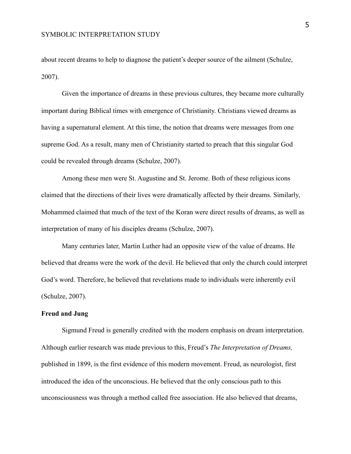about recent dreams to help to diagnose the patient's deeper source of the ailment (Schulze, 2007).

Given the importance of dreams in these previous cultures, they became more culturally important during Biblical times with emergence of Christianity. Christians viewed dreams as having a supernatural element. At this time, the notion that dreams were messages from one supreme God. As a result, many men of Christianity started to preach that this singular God could be revealed through dreams (Schulze, 2007).

Among these men were St. Augustine and St. Jerome. Both of these religious icons claimed that the directions of their lives were dramatically affected by their dreams. Similarly, Mohammed claimed that much of the text of the Koran were direct results of dreams, as well as interpretation of many of his disciples dreams (Schulze, 2007).

Many centuries later, Martin Luther had an opposite view of the value of dreams. He believed that dreams were the work of the devil. He believed that only the church could interpret God's word. Therefore, he believed that revelations made to individuals were inherently evil (Schulze, 2007).

## **Freud and Jung**

Sigmund Freud is generally credited with the modern emphasis on dream interpretation. Although earlier research was made previous to this, Freud's *The Interpretation of Dreams,*  published in 1899, is the first evidence of this modern movement. Freud, as neurologist, first introduced the idea of the unconscious. He believed that the only conscious path to this unconsciousness was through a method called free association. He also believed that dreams,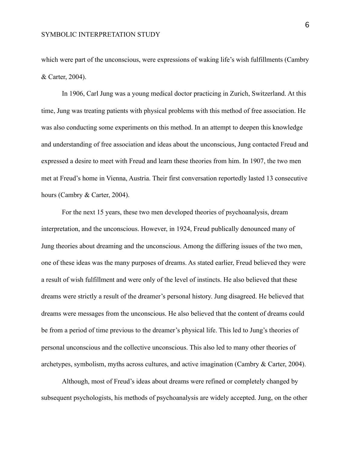which were part of the unconscious, were expressions of waking life's wish fulfillments (Cambry & Carter, 2004).

In 1906, Carl Jung was a young medical doctor practicing in Zurich, Switzerland. At this time, Jung was treating patients with physical problems with this method of free association. He was also conducting some experiments on this method. In an attempt to deepen this knowledge and understanding of free association and ideas about the unconscious, Jung contacted Freud and expressed a desire to meet with Freud and learn these theories from him. In 1907, the two men met at Freud's home in Vienna, Austria. Their first conversation reportedly lasted 13 consecutive hours (Cambry & Carter, 2004).

For the next 15 years, these two men developed theories of psychoanalysis, dream interpretation, and the unconscious. However, in 1924, Freud publically denounced many of Jung theories about dreaming and the unconscious. Among the differing issues of the two men, one of these ideas was the many purposes of dreams. As stated earlier, Freud believed they were a result of wish fulfillment and were only of the level of instincts. He also believed that these dreams were strictly a result of the dreamer's personal history. Jung disagreed. He believed that dreams were messages from the unconscious. He also believed that the content of dreams could be from a period of time previous to the dreamer's physical life. This led to Jung's theories of personal unconscious and the collective unconscious. This also led to many other theories of archetypes, symbolism, myths across cultures, and active imagination (Cambry & Carter, 2004).

Although, most of Freud's ideas about dreams were refined or completely changed by subsequent psychologists, his methods of psychoanalysis are widely accepted. Jung, on the other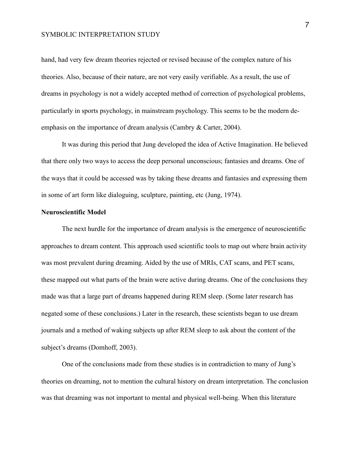hand, had very few dream theories rejected or revised because of the complex nature of his theories. Also, because of their nature, are not very easily verifiable. As a result, the use of dreams in psychology is not a widely accepted method of correction of psychological problems, particularly in sports psychology, in mainstream psychology. This seems to be the modern deemphasis on the importance of dream analysis (Cambry & Carter, 2004).

It was during this period that Jung developed the idea of Active Imagination. He believed that there only two ways to access the deep personal unconscious; fantasies and dreams. One of the ways that it could be accessed was by taking these dreams and fantasies and expressing them in some of art form like dialoguing, sculpture, painting, etc (Jung, 1974).

# **Neuroscientific Model**

The next hurdle for the importance of dream analysis is the emergence of neuroscientific approaches to dream content. This approach used scientific tools to map out where brain activity was most prevalent during dreaming. Aided by the use of MRIs, CAT scans, and PET scans, these mapped out what parts of the brain were active during dreams. One of the conclusions they made was that a large part of dreams happened during REM sleep. (Some later research has negated some of these conclusions.) Later in the research, these scientists began to use dream journals and a method of waking subjects up after REM sleep to ask about the content of the subject's dreams (Domhoff, 2003).

One of the conclusions made from these studies is in contradiction to many of Jung's theories on dreaming, not to mention the cultural history on dream interpretation. The conclusion was that dreaming was not important to mental and physical well-being. When this literature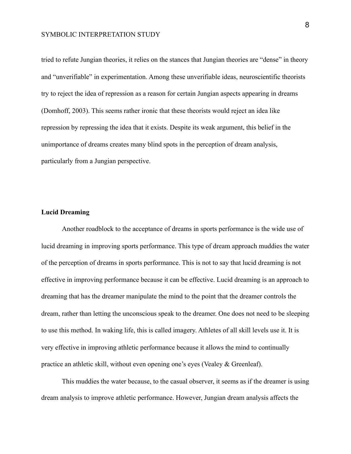tried to refute Jungian theories, it relies on the stances that Jungian theories are "dense" in theory and "unverifiable" in experimentation. Among these unverifiable ideas, neuroscientific theorists try to reject the idea of repression as a reason for certain Jungian aspects appearing in dreams (Domhoff, 2003). This seems rather ironic that these theorists would reject an idea like repression by repressing the idea that it exists. Despite its weak argument, this belief in the unimportance of dreams creates many blind spots in the perception of dream analysis, particularly from a Jungian perspective.

## **Lucid Dreaming**

Another roadblock to the acceptance of dreams in sports performance is the wide use of lucid dreaming in improving sports performance. This type of dream approach muddies the water of the perception of dreams in sports performance. This is not to say that lucid dreaming is not effective in improving performance because it can be effective. Lucid dreaming is an approach to dreaming that has the dreamer manipulate the mind to the point that the dreamer controls the dream, rather than letting the unconscious speak to the dreamer. One does not need to be sleeping to use this method. In waking life, this is called imagery. Athletes of all skill levels use it. It is very effective in improving athletic performance because it allows the mind to continually practice an athletic skill, without even opening one's eyes (Vealey & Greenleaf).

This muddies the water because, to the casual observer, it seems as if the dreamer is using dream analysis to improve athletic performance. However, Jungian dream analysis affects the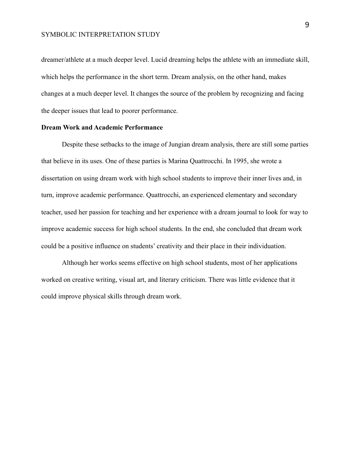dreamer/athlete at a much deeper level. Lucid dreaming helps the athlete with an immediate skill, which helps the performance in the short term. Dream analysis, on the other hand, makes changes at a much deeper level. It changes the source of the problem by recognizing and facing the deeper issues that lead to poorer performance.

#### **Dream Work and Academic Performance**

Despite these setbacks to the image of Jungian dream analysis, there are still some parties that believe in its uses. One of these parties is Marina Quattrocchi. In 1995, she wrote a dissertation on using dream work with high school students to improve their inner lives and, in turn, improve academic performance. Quattrocchi, an experienced elementary and secondary teacher, used her passion for teaching and her experience with a dream journal to look for way to improve academic success for high school students. In the end, she concluded that dream work could be a positive influence on students' creativity and their place in their individuation.

Although her works seems effective on high school students, most of her applications worked on creative writing, visual art, and literary criticism. There was little evidence that it could improve physical skills through dream work.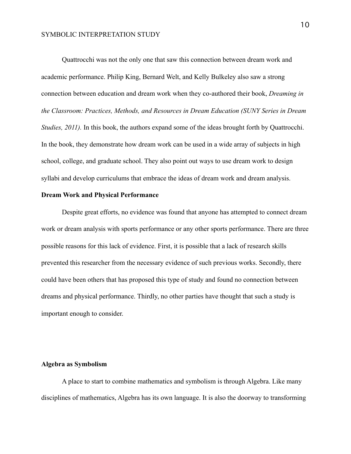Quattrocchi was not the only one that saw this connection between dream work and academic performance. Philip King, Bernard Welt, and Kelly Bulkeley also saw a strong connection between education and dream work when they co-authored their book, *Dreaming in the Classroom: Practices, Methods, and Resources in Dream Education (SUNY Series in Dream Studies, 2011*). In this book, the authors expand some of the ideas brought forth by Quattrocchi. In the book, they demonstrate how dream work can be used in a wide array of subjects in high school, college, and graduate school. They also point out ways to use dream work to design syllabi and develop curriculums that embrace the ideas of dream work and dream analysis.

### **Dream Work and Physical Performance**

Despite great efforts, no evidence was found that anyone has attempted to connect dream work or dream analysis with sports performance or any other sports performance. There are three possible reasons for this lack of evidence. First, it is possible that a lack of research skills prevented this researcher from the necessary evidence of such previous works. Secondly, there could have been others that has proposed this type of study and found no connection between dreams and physical performance. Thirdly, no other parties have thought that such a study is important enough to consider.

# **Algebra as Symbolism**

A place to start to combine mathematics and symbolism is through Algebra. Like many disciplines of mathematics, Algebra has its own language. It is also the doorway to transforming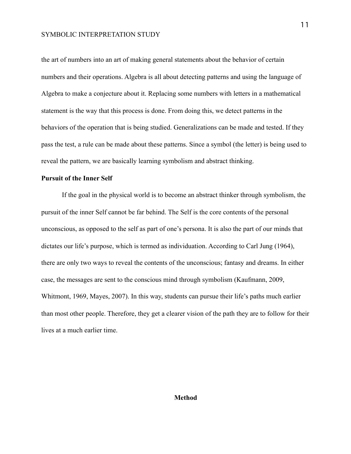the art of numbers into an art of making general statements about the behavior of certain numbers and their operations. Algebra is all about detecting patterns and using the language of Algebra to make a conjecture about it. Replacing some numbers with letters in a mathematical statement is the way that this process is done. From doing this, we detect patterns in the behaviors of the operation that is being studied. Generalizations can be made and tested. If they pass the test, a rule can be made about these patterns. Since a symbol (the letter) is being used to reveal the pattern, we are basically learning symbolism and abstract thinking.

# **Pursuit of the Inner Self**

If the goal in the physical world is to become an abstract thinker through symbolism, the pursuit of the inner Self cannot be far behind. The Self is the core contents of the personal unconscious, as opposed to the self as part of one's persona. It is also the part of our minds that dictates our life's purpose, which is termed as individuation. According to Carl Jung (1964), there are only two ways to reveal the contents of the unconscious; fantasy and dreams. In either case, the messages are sent to the conscious mind through symbolism (Kaufmann, 2009, Whitmont, 1969, Mayes, 2007). In this way, students can pursue their life's paths much earlier than most other people. Therefore, they get a clearer vision of the path they are to follow for their lives at a much earlier time.

## **Method**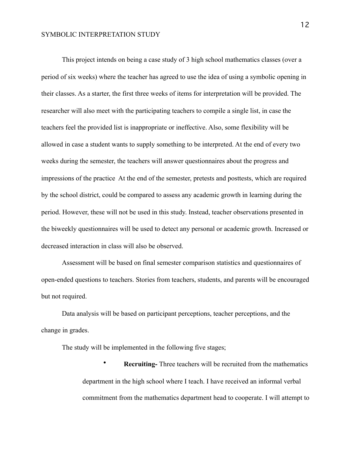This project intends on being a case study of 3 high school mathematics classes (over a period of six weeks) where the teacher has agreed to use the idea of using a symbolic opening in their classes. As a starter, the first three weeks of items for interpretation will be provided. The researcher will also meet with the participating teachers to compile a single list, in case the teachers feel the provided list is inappropriate or ineffective. Also, some flexibility will be allowed in case a student wants to supply something to be interpreted. At the end of every two weeks during the semester, the teachers will answer questionnaires about the progress and impressions of the practice At the end of the semester, pretests and posttests, which are required by the school district, could be compared to assess any academic growth in learning during the period. However, these will not be used in this study. Instead, teacher observations presented in the biweekly questionnaires will be used to detect any personal or academic growth. Increased or decreased interaction in class will also be observed.

Assessment will be based on final semester comparison statistics and questionnaires of open-ended questions to teachers. Stories from teachers, students, and parents will be encouraged but not required.

Data analysis will be based on participant perceptions, teacher perceptions, and the change in grades.

The study will be implemented in the following five stages;

• **Recruiting-** Three teachers will be recruited from the mathematics department in the high school where I teach. I have received an informal verbal commitment from the mathematics department head to cooperate. I will attempt to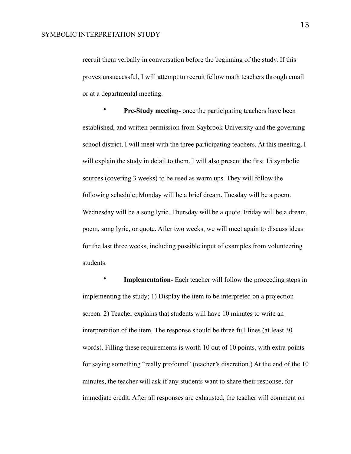recruit them verbally in conversation before the beginning of the study. If this proves unsuccessful, I will attempt to recruit fellow math teachers through email or at a departmental meeting.

**Pre-Study meeting-** once the participating teachers have been established, and written permission from Saybrook University and the governing school district, I will meet with the three participating teachers. At this meeting, I will explain the study in detail to them. I will also present the first 15 symbolic sources (covering 3 weeks) to be used as warm ups. They will follow the following schedule; Monday will be a brief dream. Tuesday will be a poem. Wednesday will be a song lyric. Thursday will be a quote. Friday will be a dream, poem, song lyric, or quote. After two weeks, we will meet again to discuss ideas for the last three weeks, including possible input of examples from volunteering students.

**Implementation-** Each teacher will follow the proceeding steps in implementing the study; 1) Display the item to be interpreted on a projection screen. 2) Teacher explains that students will have 10 minutes to write an interpretation of the item. The response should be three full lines (at least 30 words). Filling these requirements is worth 10 out of 10 points, with extra points for saying something "really profound" (teacher's discretion.) At the end of the 10 minutes, the teacher will ask if any students want to share their response, for immediate credit. After all responses are exhausted, the teacher will comment on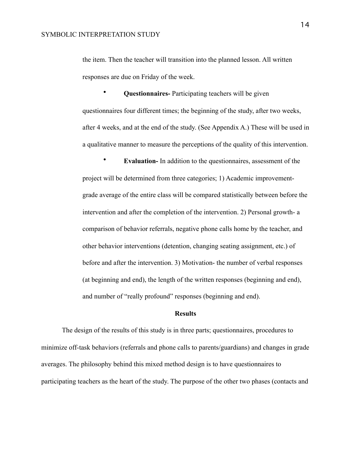the item. Then the teacher will transition into the planned lesson. All written responses are due on Friday of the week.

• **Questionnaires-** Participating teachers will be given questionnaires four different times; the beginning of the study, after two weeks, after 4 weeks, and at the end of the study. (See Appendix A.) These will be used in a qualitative manner to measure the perceptions of the quality of this intervention.

• **Evaluation-** In addition to the questionnaires, assessment of the project will be determined from three categories; 1) Academic improvementgrade average of the entire class will be compared statistically between before the intervention and after the completion of the intervention. 2) Personal growth- a comparison of behavior referrals, negative phone calls home by the teacher, and other behavior interventions (detention, changing seating assignment, etc.) of before and after the intervention. 3) Motivation- the number of verbal responses (at beginning and end), the length of the written responses (beginning and end), and number of "really profound" responses (beginning and end).

## **Results**

The design of the results of this study is in three parts; questionnaires, procedures to minimize off-task behaviors (referrals and phone calls to parents/guardians) and changes in grade averages. The philosophy behind this mixed method design is to have questionnaires to participating teachers as the heart of the study. The purpose of the other two phases (contacts and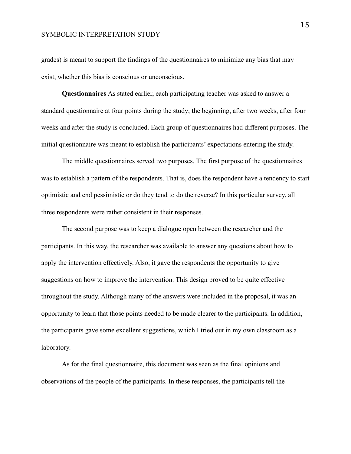grades) is meant to support the findings of the questionnaires to minimize any bias that may exist, whether this bias is conscious or unconscious.

**Questionnaires** As stated earlier, each participating teacher was asked to answer a standard questionnaire at four points during the study; the beginning, after two weeks, after four weeks and after the study is concluded. Each group of questionnaires had different purposes. The initial questionnaire was meant to establish the participants' expectations entering the study.

The middle questionnaires served two purposes. The first purpose of the questionnaires was to establish a pattern of the respondents. That is, does the respondent have a tendency to start optimistic and end pessimistic or do they tend to do the reverse? In this particular survey, all three respondents were rather consistent in their responses.

The second purpose was to keep a dialogue open between the researcher and the participants. In this way, the researcher was available to answer any questions about how to apply the intervention effectively. Also, it gave the respondents the opportunity to give suggestions on how to improve the intervention. This design proved to be quite effective throughout the study. Although many of the answers were included in the proposal, it was an opportunity to learn that those points needed to be made clearer to the participants. In addition, the participants gave some excellent suggestions, which I tried out in my own classroom as a laboratory.

As for the final questionnaire, this document was seen as the final opinions and observations of the people of the participants. In these responses, the participants tell the 15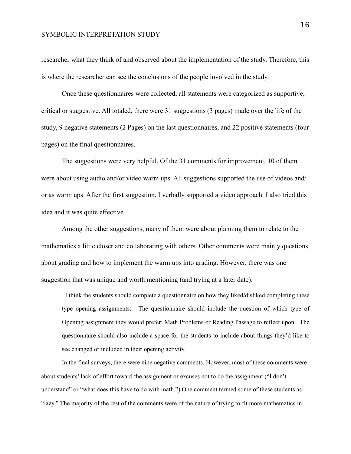researcher what they think of and observed about the implementation of the study. Therefore, this is where the researcher can see the conclusions of the people involved in the study.

Once these questionnaires were collected, all statements were categorized as supportive, critical or suggestive. All totaled, there were 31 suggestions (3 pages) made over the life of the study, 9 negative statements (2 Pages) on the last questionnaires, and 22 positive statements (four pages) on the final questionnaires.

The suggestions were very helpful. Of the 31 comments for improvement, 10 of them were about using audio and/or video warm ups. All suggestions supported the use of videos and/ or as warm ups. After the first suggestion, I verbally supported a video approach. I also tried this idea and it was quite effective.

Among the other suggestions, many of them were about planning them to relate to the mathematics a little closer and collaborating with others. Other comments were mainly questions about grading and how to implement the warm ups into grading. However, there was one suggestion that was unique and worth mentioning (and trying at a later date);

 I think the students should complete a questionnaire on how they liked/disliked completing these type opening assignments. The questionnaire should include the question of which type of Opening assignment they would prefer: Math Problems or Reading Passage to reflect upon. The questionnaire should also include a space for the students to include about things they'd like to see changed or included in their opening activity.

In the final surveys, there were nine negative comments. However, most of these comments were about students' lack of effort toward the assignment or excuses not to do the assignment ("I don't understand" or "what does this have to do with math.") One comment termed some of these students as "lazy." The majority of the rest of the comments were of the nature of trying to fit more mathematics in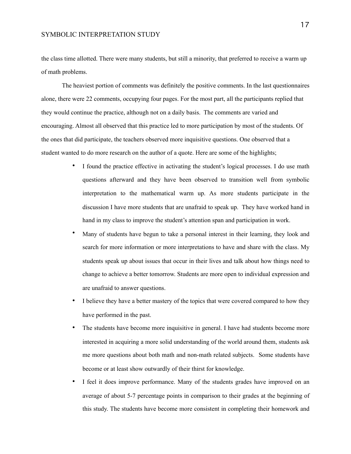the class time allotted. There were many students, but still a minority, that preferred to receive a warm up of math problems.

The heaviest portion of comments was definitely the positive comments. In the last questionnaires alone, there were 22 comments, occupying four pages. For the most part, all the participants replied that they would continue the practice, although not on a daily basis. The comments are varied and encouraging. Almost all observed that this practice led to more participation by most of the students. Of the ones that did participate, the teachers observed more inquisitive questions. One observed that a student wanted to do more research on the author of a quote. Here are some of the highlights;

- I found the practice effective in activating the student's logical processes. I do use math questions afterward and they have been observed to transition well from symbolic interpretation to the mathematical warm up. As more students participate in the discussion I have more students that are unafraid to speak up. They have worked hand in hand in my class to improve the student's attention span and participation in work.
- Many of students have begun to take a personal interest in their learning, they look and search for more information or more interpretations to have and share with the class. My students speak up about issues that occur in their lives and talk about how things need to change to achieve a better tomorrow. Students are more open to individual expression and are unafraid to answer questions.
- I believe they have a better mastery of the topics that were covered compared to how they have performed in the past.
- The students have become more inquisitive in general. I have had students become more interested in acquiring a more solid understanding of the world around them, students ask me more questions about both math and non-math related subjects. Some students have become or at least show outwardly of their thirst for knowledge.
- I feel it does improve performance. Many of the students grades have improved on an average of about 5-7 percentage points in comparison to their grades at the beginning of this study. The students have become more consistent in completing their homework and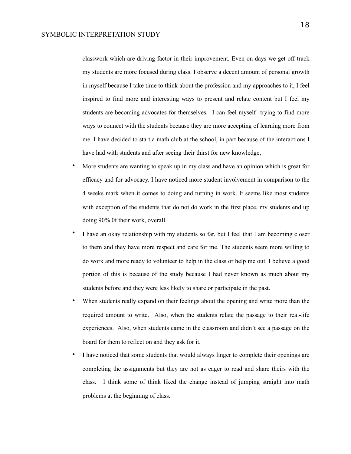classwork which are driving factor in their improvement. Even on days we get off track my students are more focused during class. I observe a decent amount of personal growth in myself because I take time to think about the profession and my approaches to it, I feel inspired to find more and interesting ways to present and relate content but I feel my students are becoming advocates for themselves. I can feel myself trying to find more ways to connect with the students because they are more accepting of learning more from me. I have decided to start a math club at the school, in part because of the interactions I have had with students and after seeing their thirst for new knowledge,

- More students are wanting to speak up in my class and have an opinion which is great for efficacy and for advocacy. I have noticed more student involvement in comparison to the 4 weeks mark when it comes to doing and turning in work. It seems like most students with exception of the students that do not do work in the first place, my students end up doing 90% 0f their work, overall.
- I have an okay relationship with my students so far, but I feel that I am becoming closer to them and they have more respect and care for me. The students seem more willing to do work and more ready to volunteer to help in the class or help me out. I believe a good portion of this is because of the study because I had never known as much about my students before and they were less likely to share or participate in the past.
- When students really expand on their feelings about the opening and write more than the required amount to write. Also, when the students relate the passage to their real-life experiences. Also, when students came in the classroom and didn't see a passage on the board for them to reflect on and they ask for it.
- I have noticed that some students that would always linger to complete their openings are completing the assignments but they are not as eager to read and share theirs with the class. I think some of think liked the change instead of jumping straight into math problems at the beginning of class.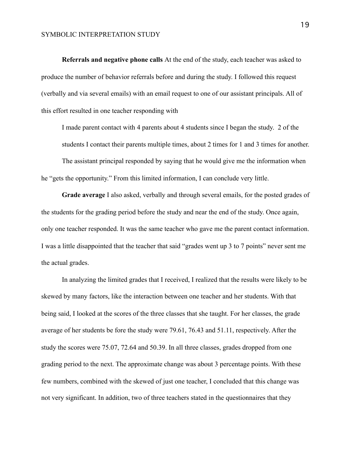**Referrals and negative phone calls** At the end of the study, each teacher was asked to produce the number of behavior referrals before and during the study. I followed this request (verbally and via several emails) with an email request to one of our assistant principals. All of this effort resulted in one teacher responding with

I made parent contact with 4 parents about 4 students since I began the study. 2 of the students I contact their parents multiple times, about 2 times for 1 and 3 times for another.

The assistant principal responded by saying that he would give me the information when he "gets the opportunity." From this limited information, I can conclude very little.

**Grade average** I also asked, verbally and through several emails, for the posted grades of the students for the grading period before the study and near the end of the study. Once again, only one teacher responded. It was the same teacher who gave me the parent contact information. I was a little disappointed that the teacher that said "grades went up 3 to 7 points" never sent me the actual grades.

In analyzing the limited grades that I received, I realized that the results were likely to be skewed by many factors, like the interaction between one teacher and her students. With that being said, I looked at the scores of the three classes that she taught. For her classes, the grade average of her students be fore the study were 79.61, 76.43 and 51.11, respectively. After the study the scores were 75.07, 72.64 and 50.39. In all three classes, grades dropped from one grading period to the next. The approximate change was about 3 percentage points. With these few numbers, combined with the skewed of just one teacher, I concluded that this change was not very significant. In addition, two of three teachers stated in the questionnaires that they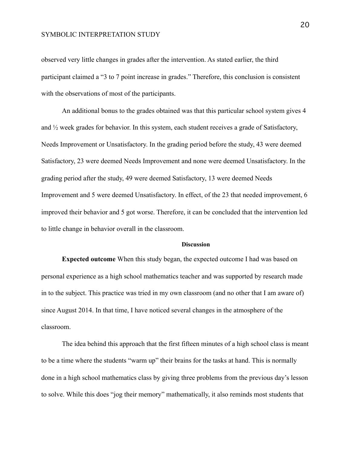observed very little changes in grades after the intervention. As stated earlier, the third participant claimed a "3 to 7 point increase in grades." Therefore, this conclusion is consistent with the observations of most of the participants.

An additional bonus to the grades obtained was that this particular school system gives 4 and ½ week grades for behavior. In this system, each student receives a grade of Satisfactory, Needs Improvement or Unsatisfactory. In the grading period before the study, 43 were deemed Satisfactory, 23 were deemed Needs Improvement and none were deemed Unsatisfactory. In the grading period after the study, 49 were deemed Satisfactory, 13 were deemed Needs Improvement and 5 were deemed Unsatisfactory. In effect, of the 23 that needed improvement, 6 improved their behavior and 5 got worse. Therefore, it can be concluded that the intervention led to little change in behavior overall in the classroom.

### **Discussion**

**Expected outcome** When this study began, the expected outcome I had was based on personal experience as a high school mathematics teacher and was supported by research made in to the subject. This practice was tried in my own classroom (and no other that I am aware of) since August 2014. In that time, I have noticed several changes in the atmosphere of the classroom.

The idea behind this approach that the first fifteen minutes of a high school class is meant to be a time where the students "warm up" their brains for the tasks at hand. This is normally done in a high school mathematics class by giving three problems from the previous day's lesson to solve. While this does "jog their memory" mathematically, it also reminds most students that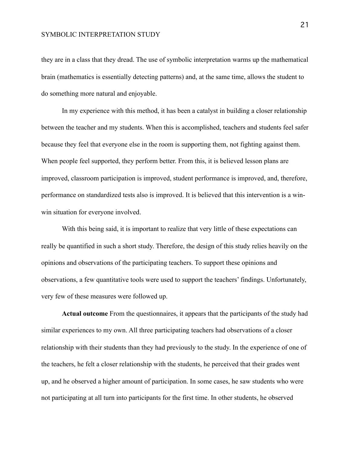they are in a class that they dread. The use of symbolic interpretation warms up the mathematical brain (mathematics is essentially detecting patterns) and, at the same time, allows the student to do something more natural and enjoyable.

In my experience with this method, it has been a catalyst in building a closer relationship between the teacher and my students. When this is accomplished, teachers and students feel safer because they feel that everyone else in the room is supporting them, not fighting against them. When people feel supported, they perform better. From this, it is believed lesson plans are improved, classroom participation is improved, student performance is improved, and, therefore, performance on standardized tests also is improved. It is believed that this intervention is a winwin situation for everyone involved.

With this being said, it is important to realize that very little of these expectations can really be quantified in such a short study. Therefore, the design of this study relies heavily on the opinions and observations of the participating teachers. To support these opinions and observations, a few quantitative tools were used to support the teachers' findings. Unfortunately, very few of these measures were followed up.

**Actual outcome** From the questionnaires, it appears that the participants of the study had similar experiences to my own. All three participating teachers had observations of a closer relationship with their students than they had previously to the study. In the experience of one of the teachers, he felt a closer relationship with the students, he perceived that their grades went up, and he observed a higher amount of participation. In some cases, he saw students who were not participating at all turn into participants for the first time. In other students, he observed

21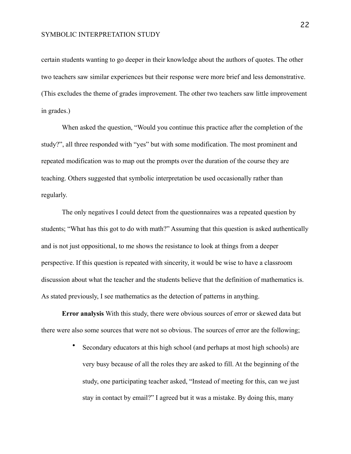certain students wanting to go deeper in their knowledge about the authors of quotes. The other two teachers saw similar experiences but their response were more brief and less demonstrative. (This excludes the theme of grades improvement. The other two teachers saw little improvement in grades.)

When asked the question, "Would you continue this practice after the completion of the study?", all three responded with "yes" but with some modification. The most prominent and repeated modification was to map out the prompts over the duration of the course they are teaching. Others suggested that symbolic interpretation be used occasionally rather than regularly.

The only negatives I could detect from the questionnaires was a repeated question by students; "What has this got to do with math?" Assuming that this question is asked authentically and is not just oppositional, to me shows the resistance to look at things from a deeper perspective. If this question is repeated with sincerity, it would be wise to have a classroom discussion about what the teacher and the students believe that the definition of mathematics is. As stated previously, I see mathematics as the detection of patterns in anything.

**Error analysis** With this study, there were obvious sources of error or skewed data but there were also some sources that were not so obvious. The sources of error are the following;

> • Secondary educators at this high school (and perhaps at most high schools) are very busy because of all the roles they are asked to fill. At the beginning of the study, one participating teacher asked, "Instead of meeting for this, can we just stay in contact by email?" I agreed but it was a mistake. By doing this, many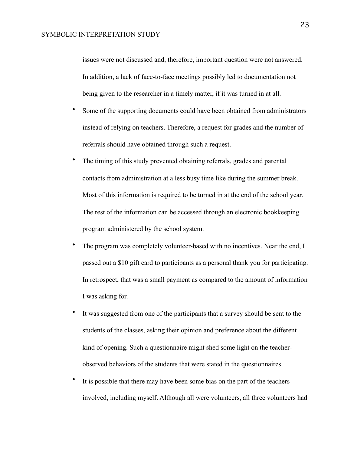issues were not discussed and, therefore, important question were not answered. In addition, a lack of face-to-face meetings possibly led to documentation not being given to the researcher in a timely matter, if it was turned in at all.

- Some of the supporting documents could have been obtained from administrators instead of relying on teachers. Therefore, a request for grades and the number of referrals should have obtained through such a request.
- The timing of this study prevented obtaining referrals, grades and parental contacts from administration at a less busy time like during the summer break. Most of this information is required to be turned in at the end of the school year. The rest of the information can be accessed through an electronic bookkeeping program administered by the school system.
- The program was completely volunteer-based with no incentives. Near the end, I passed out a \$10 gift card to participants as a personal thank you for participating. In retrospect, that was a small payment as compared to the amount of information I was asking for.
- It was suggested from one of the participants that a survey should be sent to the students of the classes, asking their opinion and preference about the different kind of opening. Such a questionnaire might shed some light on the teacherobserved behaviors of the students that were stated in the questionnaires.
- It is possible that there may have been some bias on the part of the teachers involved, including myself. Although all were volunteers, all three volunteers had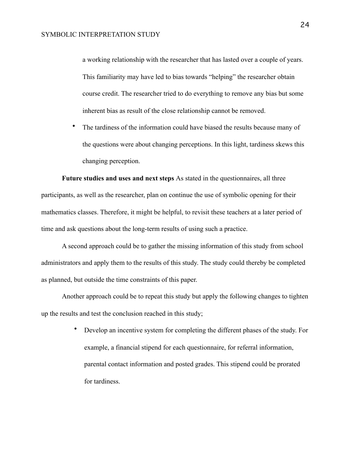a working relationship with the researcher that has lasted over a couple of years. This familiarity may have led to bias towards "helping" the researcher obtain course credit. The researcher tried to do everything to remove any bias but some inherent bias as result of the close relationship cannot be removed.

• The tardiness of the information could have biased the results because many of the questions were about changing perceptions. In this light, tardiness skews this changing perception.

**Future studies and uses and next steps** As stated in the questionnaires, all three participants, as well as the researcher, plan on continue the use of symbolic opening for their mathematics classes. Therefore, it might be helpful, to revisit these teachers at a later period of time and ask questions about the long-term results of using such a practice.

A second approach could be to gather the missing information of this study from school administrators and apply them to the results of this study. The study could thereby be completed as planned, but outside the time constraints of this paper.

Another approach could be to repeat this study but apply the following changes to tighten up the results and test the conclusion reached in this study;

> • Develop an incentive system for completing the different phases of the study. For example, a financial stipend for each questionnaire, for referral information, parental contact information and posted grades. This stipend could be prorated for tardiness.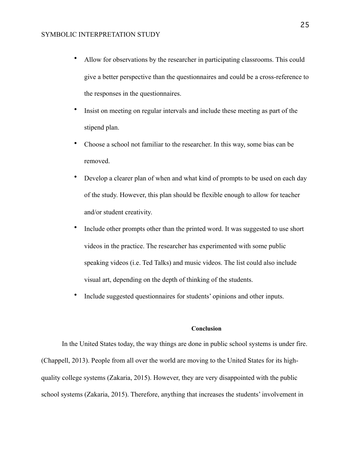- Allow for observations by the researcher in participating classrooms. This could give a better perspective than the questionnaires and could be a cross-reference to the responses in the questionnaires.
- Insist on meeting on regular intervals and include these meeting as part of the stipend plan.
- Choose a school not familiar to the researcher. In this way, some bias can be removed.
- Develop a clearer plan of when and what kind of prompts to be used on each day of the study. However, this plan should be flexible enough to allow for teacher and/or student creativity.
- Include other prompts other than the printed word. It was suggested to use short videos in the practice. The researcher has experimented with some public speaking videos (i.e. Ted Talks) and music videos. The list could also include visual art, depending on the depth of thinking of the students.
- Include suggested questionnaires for students' opinions and other inputs.

## **Conclusion**

In the United States today, the way things are done in public school systems is under fire. (Chappell, 2013). People from all over the world are moving to the United States for its highquality college systems (Zakaria, 2015). However, they are very disappointed with the public school systems (Zakaria, 2015). Therefore, anything that increases the students' involvement in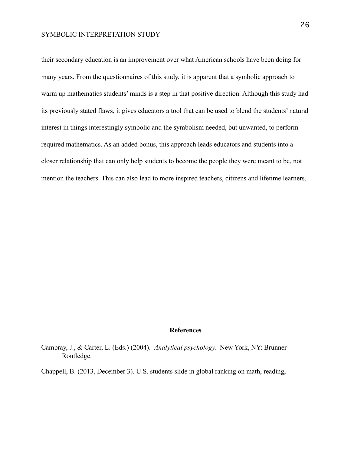their secondary education is an improvement over what American schools have been doing for many years. From the questionnaires of this study, it is apparent that a symbolic approach to warm up mathematics students' minds is a step in that positive direction. Although this study had its previously stated flaws, it gives educators a tool that can be used to blend the students' natural interest in things interestingly symbolic and the symbolism needed, but unwanted, to perform required mathematics. As an added bonus, this approach leads educators and students into a closer relationship that can only help students to become the people they were meant to be, not mention the teachers. This can also lead to more inspired teachers, citizens and lifetime learners.

### **References**

- Cambray, J., & Carter, L. (Eds.) (2004). *Analytical psychology.* New York, NY: Brunner-Routledge.
- Chappell, B. (2013, December 3). U.S. students slide in global ranking on math, reading,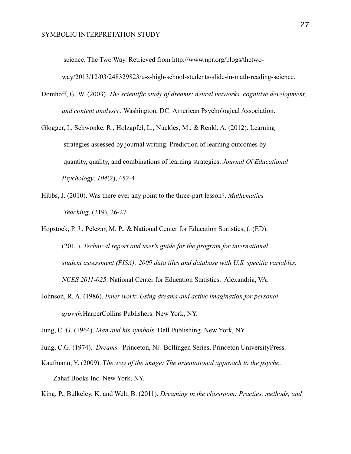science. The Two Way. Retrieved from<http://www.npr.org/blogs/thetwo->

way/2013/12/03/248329823/u-s-high-school-students-slide-in-math-reading-science.

- Domhoff, G. W. (2003). *The scientific study of dreams: neural networks, cognitive development, and content analysis .* Washington, DC: American Psychological Association.
- Glogger, I., Schwonke, R., Holzapfel, L., Nuckles, M., & Renkl, A. (2012). Learning strategies assessed by journal writing: Prediction of learning outcomes by quantity, quality, and combinations of learning strategies. *Journal Of Educational Psychology*, *104*(2), 452-4
- Hibbs, J. (2010). Was there ever any point to the three-part lesson?. *Mathematics Teaching*, (219), 26-27.

Hopstock, P. J., Pelczar, M. P., & National Center for Education Statistics, (. (ED). (2011). *Technical report and user's guide for the program for international student assessment (PISA): 2009 data files and database with U.S. specific variables. NCES 2011-025*. National Center for Education Statistics. Alexandria, VA.

Johnson, R. A. (1986). *Inner work: Using dreams and active imagination for personal growth.*HarperCollins Publishers. New York, NY.

Jung, C. G. (1964). *Man and his symbols*. Dell Publishing. New York, NY.

- Jung, C.G. (1974). *Dreams.* Princeton, NJ: Bollingen Series, Princeton UniversityPress.
- Kaufmann, Y. (2009). T*he way of the image: The orientational approach to the psyche*. Zahaf Books Inc. New York, NY.

King, P., Bulkeley, K. and Welt, B. (2011). *Dreaming in the classroom: Practies, methods, and*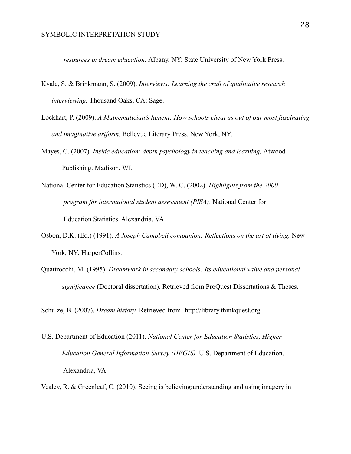*resources in dream education.* Albany, NY: State University of New York Press.

- Kvale, S. & Brinkmann, S. (2009). *Interviews: Learning the craft of qualitative research interviewing.* Thousand Oaks, CA: Sage.
- Lockhart, P. (2009). *A Mathematician's lament: How schools cheat us out of our most fascinating and imaginative artform.* Bellevue Literary Press. New York, NY.
- Mayes, C. (2007). *Inside education: depth psychology in teaching and learning,* Atwood Publishing. Madison, WI.
- National Center for Education Statistics (ED), W. C. (2002). *Highlights from the 2000 program for international student assessment (PISA)*. National Center for Education Statistics. Alexandria, VA.
- Osbon, D.K. (Ed.) (1991). *A Joseph Campbell companion: Reflections on the art of living.* New York, NY: HarperCollins.
- Quattrocchi, M. (1995). *Dreamwork in secondary schools: Its educational value and personal significance* (Doctoral dissertation). Retrieved from ProQuest Dissertations & Theses.

Schulze, B. (2007). *Dream history.* Retrieved from http://library.thinkquest.org

- U.S. Department of Education (2011). *National Center for Education Statistics, Higher Education General Information Survey (HEGIS).* U.S. Department of Education. Alexandria, VA.
- Vealey, R. & Greenleaf, C. (2010). Seeing is believing:understanding and using imagery in